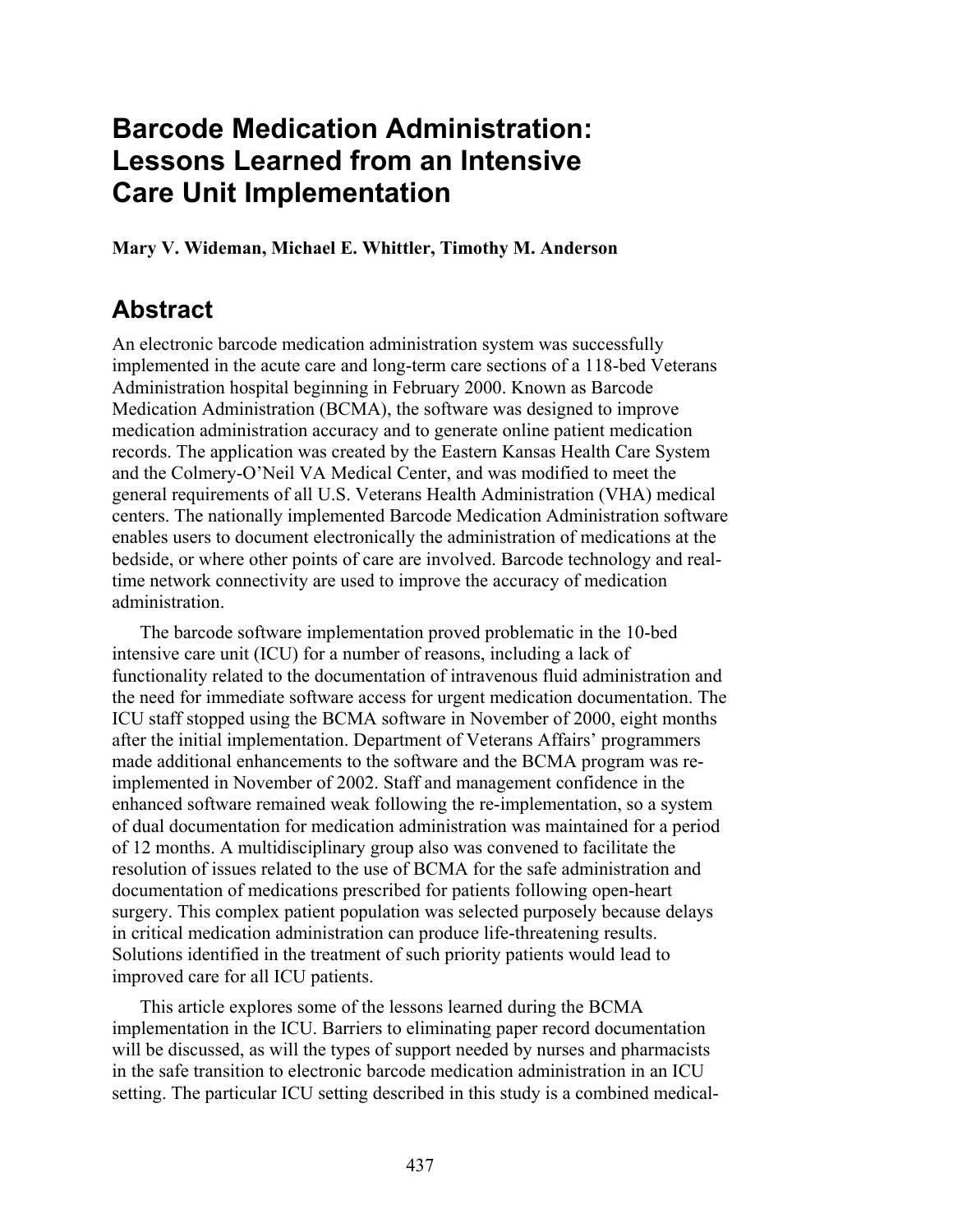# **Barcode Medication Administration: Lessons Learned from an Intensive Care Unit Implementation**

**Mary V. Wideman, Michael E. Whittler, Timothy M. Anderson** 

# **Abstract**

An electronic barcode medication administration system was successfully implemented in the acute care and long-term care sections of a 118-bed Veterans Administration hospital beginning in February 2000. Known as Barcode Medication Administration (BCMA), the software was designed to improve medication administration accuracy and to generate online patient medication records. The application was created by the Eastern Kansas Health Care System and the Colmery-O'Neil VA Medical Center, and was modified to meet the general requirements of all U.S. Veterans Health Administration (VHA) medical centers. The nationally implemented Barcode Medication Administration software enables users to document electronically the administration of medications at the bedside, or where other points of care are involved. Barcode technology and realtime network connectivity are used to improve the accuracy of medication administration.

The barcode software implementation proved problematic in the 10-bed intensive care unit (ICU) for a number of reasons, including a lack of functionality related to the documentation of intravenous fluid administration and the need for immediate software access for urgent medication documentation. The ICU staff stopped using the BCMA software in November of 2000, eight months after the initial implementation. Department of Veterans Affairs' programmers made additional enhancements to the software and the BCMA program was reimplemented in November of 2002. Staff and management confidence in the enhanced software remained weak following the re-implementation, so a system of dual documentation for medication administration was maintained for a period of 12 months. A multidisciplinary group also was convened to facilitate the resolution of issues related to the use of BCMA for the safe administration and documentation of medications prescribed for patients following open-heart surgery. This complex patient population was selected purposely because delays in critical medication administration can produce life-threatening results. Solutions identified in the treatment of such priority patients would lead to improved care for all ICU patients.

This article explores some of the lessons learned during the BCMA implementation in the ICU. Barriers to eliminating paper record documentation will be discussed, as will the types of support needed by nurses and pharmacists in the safe transition to electronic barcode medication administration in an ICU setting. The particular ICU setting described in this study is a combined medical-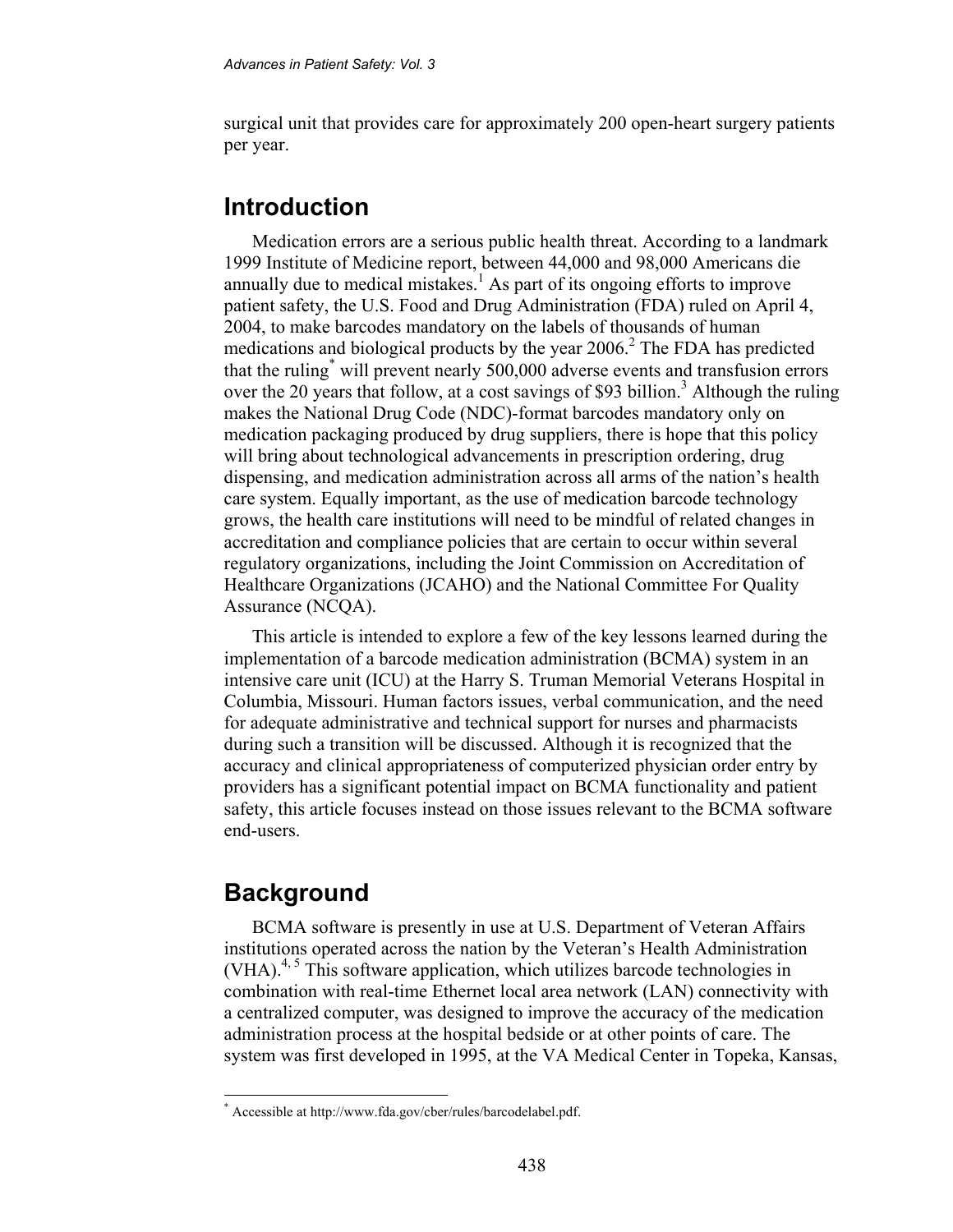surgical unit that provides care for approximately 200 open-heart surgery patients per year.

### **Introduction**

Medication errors are a serious public health threat. According to a landmark 1999 Institute of Medicine report, between 44,000 and 98,000 Americans die annually due to medical mistakes.<sup>1</sup> As part of its ongoing efforts to improve patient safety, the U.S. Food and Drug Administration (FDA) ruled on April 4, 2004, to make barcodes mandatory on the labels of thousands of human medications and biological products by the year  $2006$ .<sup>2</sup> The FDA has predicted that the ruling\* will prevent nearly 500,000 adverse events and transfusion errors over the 20 years that follow, at a cost savings of \$93 billion.<sup>3</sup> Although the ruling makes the National Drug Code (NDC)-format barcodes mandatory only on medication packaging produced by drug suppliers, there is hope that this policy will bring about technological advancements in prescription ordering, drug dispensing, and medication administration across all arms of the nation's health care system. Equally important, as the use of medication barcode technology grows, the health care institutions will need to be mindful of related changes in accreditation and compliance policies that are certain to occur within several regulatory organizations, including the Joint Commission on Accreditation of Healthcare Organizations (JCAHO) and the National Committee For Quality Assurance (NCQA).

This article is intended to explore a few of the key lessons learned during the implementation of a barcode medication administration (BCMA) system in an intensive care unit (ICU) at the Harry S. Truman Memorial Veterans Hospital in Columbia, Missouri. Human factors issues, verbal communication, and the need for adequate administrative and technical support for nurses and pharmacists during such a transition will be discussed. Although it is recognized that the accuracy and clinical appropriateness of computerized physician order entry by providers has a significant potential impact on BCMA functionality and patient safety, this article focuses instead on those issues relevant to the BCMA software end-users.

## **Background**

 $\overline{a}$ 

BCMA software is presently in use at U.S. Department of Veteran Affairs institutions operated across the nation by the Veteran's Health Administration (VHA).<sup>4, 5</sup> This software application, which utilizes barcode technologies in combination with real-time Ethernet local area network (LAN) connectivity with a centralized computer, was designed to improve the accuracy of the medication administration process at the hospital bedside or at other points of care. The system was first developed in 1995, at the VA Medical Center in Topeka, Kansas,

<sup>\*</sup> Accessible at http://www.fda.gov/cber/rules/barcodelabel.pdf.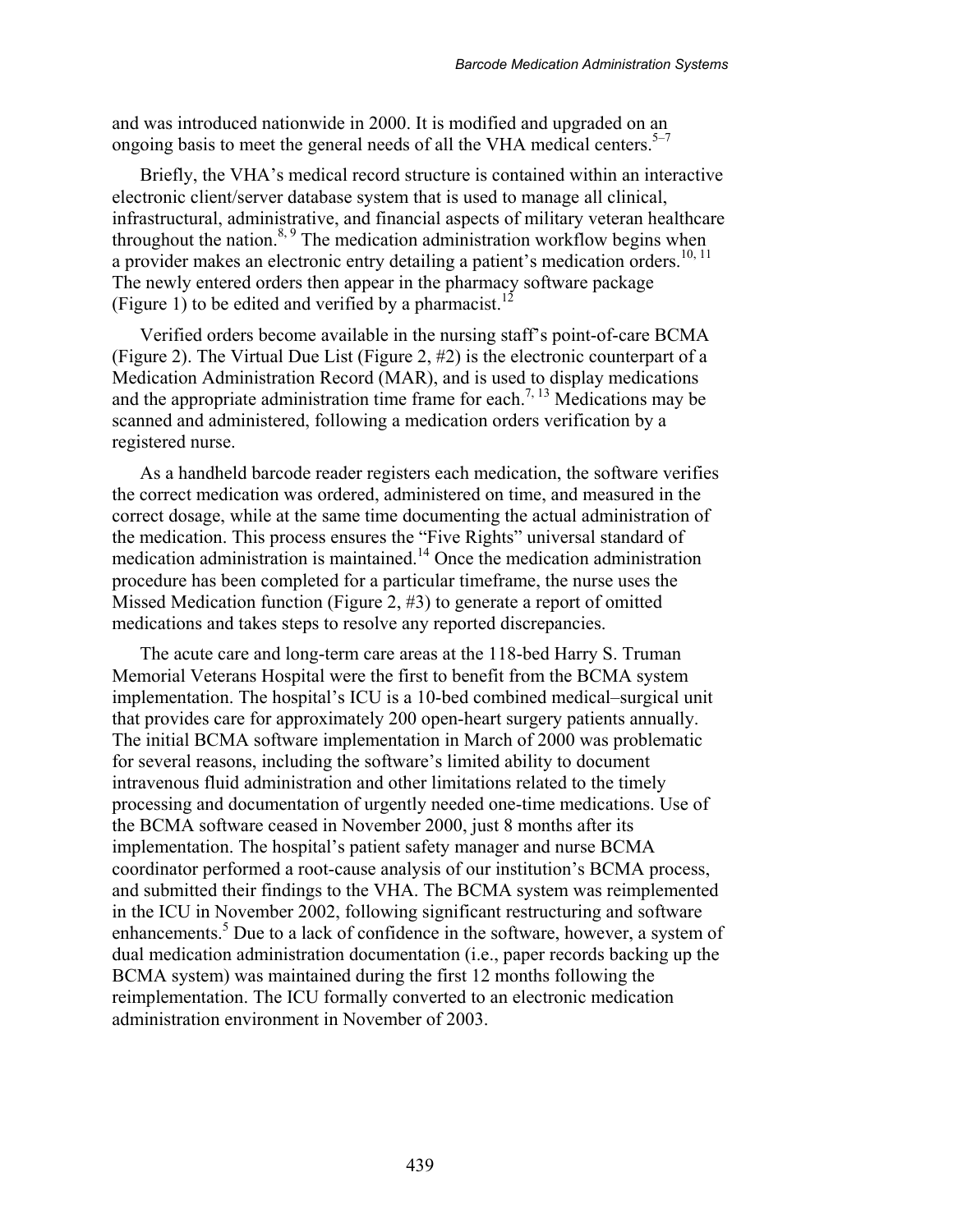and was introduced nationwide in 2000. It is modified and upgraded on an ongoing basis to meet the general needs of all the VHA medical centers.<sup>5–7</sup>

Briefly, the VHA's medical record structure is contained within an interactive electronic client/server database system that is used to manage all clinical, infrastructural, administrative, and financial aspects of military veteran healthcare throughout the nation. $8,9$  The medication administration workflow begins when a provider makes an electronic entry detailing a patient's medication orders.<sup>10, 11</sup> The newly entered orders then appear in the pharmacy software package (Figure 1) to be edited and verified by a pharmacist.<sup>12</sup>

Verified orders become available in the nursing staff's point-of-care BCMA (Figure 2). The Virtual Due List (Figure 2, #2) is the electronic counterpart of a Medication Administration Record (MAR), and is used to display medications and the appropriate administration time frame for each.<sup>7, 13</sup> Medications may be scanned and administered, following a medication orders verification by a registered nurse.

As a handheld barcode reader registers each medication, the software verifies the correct medication was ordered, administered on time, and measured in the correct dosage, while at the same time documenting the actual administration of the medication. This process ensures the "Five Rights" universal standard of medication administration is maintained.<sup>14</sup> Once the medication administration procedure has been completed for a particular timeframe, the nurse uses the Missed Medication function (Figure 2, #3) to generate a report of omitted medications and takes steps to resolve any reported discrepancies.

The acute care and long-term care areas at the 118-bed Harry S. Truman Memorial Veterans Hospital were the first to benefit from the BCMA system implementation. The hospital's ICU is a 10-bed combined medical–surgical unit that provides care for approximately 200 open-heart surgery patients annually. The initial BCMA software implementation in March of 2000 was problematic for several reasons, including the software's limited ability to document intravenous fluid administration and other limitations related to the timely processing and documentation of urgently needed one-time medications. Use of the BCMA software ceased in November 2000, just 8 months after its implementation. The hospital's patient safety manager and nurse BCMA coordinator performed a root-cause analysis of our institution's BCMA process, and submitted their findings to the VHA. The BCMA system was reimplemented in the ICU in November 2002, following significant restructuring and software enhancements.<sup>5</sup> Due to a lack of confidence in the software, however, a system of dual medication administration documentation (i.e., paper records backing up the BCMA system) was maintained during the first 12 months following the reimplementation. The ICU formally converted to an electronic medication administration environment in November of 2003.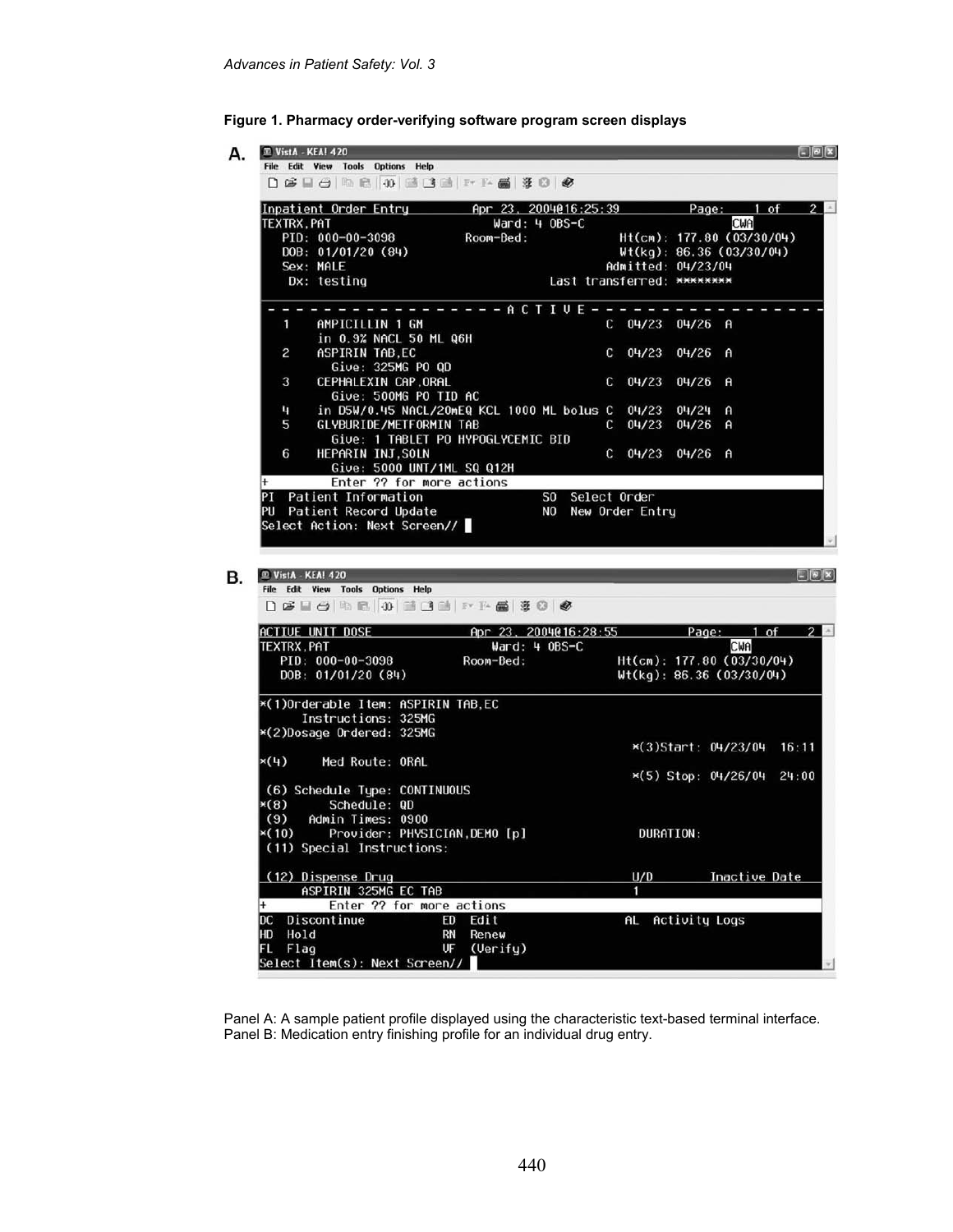

| D & B & R & O & B B & B &                                                                          |                                                        |                                       |                    |                           |                        |
|----------------------------------------------------------------------------------------------------|--------------------------------------------------------|---------------------------------------|--------------------|---------------------------|------------------------|
| Inpatient Order Entry (apr 23, 2004016:25:39 (Page: 1 of 2                                         |                                                        |                                       |                    |                           |                        |
| <b>TEXTRX, PAT</b>                                                                                 | $Ward: 4 OBS-C$                                        |                                       |                    | CWA                       |                        |
| PID: 000-00-3098                                                                                   | Room-Bed:                                              |                                       |                    | Ht(cm): 177.80 (03/30/04) |                        |
| DOB: 01/01/20 (84)                                                                                 |                                                        |                                       |                    | Wt(kg): 86.36 (03/30/04)  |                        |
| Sex: MALE<br>Dx: testing                                                                           |                                                        | Last transferred: ********            | Admitted: 04/23/04 |                           |                        |
|                                                                                                    |                                                        |                                       |                    |                           |                        |
|                                                                                                    | - - - - - - A C T I U E - - - -                        |                                       |                    |                           |                        |
| AMPICILLIN 1 GM<br>1                                                                               |                                                        |                                       | C 04/23 04/26 A    |                           |                        |
| in 0.9% NACL 50 ML Q6H                                                                             |                                                        |                                       |                    |                           |                        |
| ASPIRIN TAB.EC<br>2                                                                                |                                                        | $C = 04/23$                           | 04/26              | A                         |                        |
| Give: 325MG PO QD                                                                                  |                                                        |                                       |                    |                           |                        |
| CEPHALEXIN CAP, ORAL<br>3                                                                          |                                                        | $C = 04/23$                           | 04/26              | A                         |                        |
| Give: 500MG PO TID AC                                                                              |                                                        |                                       |                    |                           |                        |
| 4                                                                                                  | in D5W/0.45 NACL/20mEQ KCL 1000 ML bolus C 04/23 04/24 |                                       |                    | A                         |                        |
| 5<br>GLYBURIDE/METFORMIN TAB                                                                       |                                                        | $C = 04/23$                           | $04/26$ A          |                           |                        |
|                                                                                                    | Give: 1 TABLET PO HYPOGLYCEMIC BID                     |                                       |                    |                           |                        |
| HEPARIN INJ, SOLN<br>6                                                                             |                                                        |                                       | C 04/23 04/26 A    |                           |                        |
| Give: 5000 UNT/1ML SQ Q12H                                                                         |                                                        |                                       |                    |                           |                        |
| Enter ?? for more actions<br>$+$                                                                   |                                                        |                                       |                    |                           |                        |
| PI Patient Information                                                                             |                                                        | SO Select Order<br>NO New Order Entry |                    |                           |                        |
| PU Patient Record Update                                                                           |                                                        |                                       |                    |                           |                        |
|                                                                                                    |                                                        |                                       |                    |                           |                        |
| Select Action: Next Screen//<br><sup>m</sup> VistA - KEA! 420<br>File Edit View Tools Options Help |                                                        |                                       |                    |                           |                        |
| D & H & B O & O & & B & B &                                                                        |                                                        |                                       |                    |                           |                        |
| ACTIVE UNIT DOSE 6pr 23, 2004@16:28:55 Page: 1 of 2                                                |                                                        |                                       |                    |                           |                        |
| TEXTRX, PAT                                                                                        | $\texttt{Ward}: 4 0BS-C$                               |                                       |                    | CWA                       |                        |
| PID: 000-00-3098                                                                                   | Room-Bed:                                              |                                       |                    | Ht(cm): 177.80 (03/30/04) |                        |
| DOB: 01/01/20 (84)                                                                                 |                                                        |                                       |                    | Wt(kg): 86.36 (03/30/04)  |                        |
| *(1)Orderable Item: ASPIRIN TAB.EC                                                                 |                                                        |                                       |                    |                           |                        |
| Instructions: 325MG                                                                                |                                                        |                                       |                    |                           |                        |
|                                                                                                    |                                                        |                                       |                    |                           |                        |
| *(2)Dosage Ordered: 325MG                                                                          |                                                        |                                       |                    | *(3)Start: 04/23/04       |                        |
| $\times$ (4)<br>Med Route: ORAL                                                                    |                                                        |                                       |                    |                           |                        |
|                                                                                                    |                                                        |                                       |                    |                           |                        |
|                                                                                                    |                                                        |                                       |                    | ×(5) Stop: 04/26/04       |                        |
| (6) Schedule Type: CONTINUOUS                                                                      |                                                        |                                       |                    |                           |                        |
| Schedule: QD<br>$\times$ (8)<br>Admin Times: 0900                                                  |                                                        |                                       |                    |                           |                        |
| (9)                                                                                                |                                                        |                                       |                    |                           |                        |
| *(10) Provider: PHYSICIAN, DEMO [p]<br>(11) Special Instructions:                                  |                                                        |                                       | DURATION:          |                           |                        |
|                                                                                                    |                                                        |                                       |                    |                           |                        |
| (12) Dispense Drug                                                                                 |                                                        | U/D                                   |                    | <b>Inactive Date</b>      |                        |
| ASPIRIN 325MG EC TAB                                                                               |                                                        | 1                                     |                    |                           |                        |
| Enter ?? for more actions                                                                          |                                                        |                                       |                    |                           |                        |
| DC Discontinue                                                                                     | ED<br>Edit                                             | AL                                    | Activity Logs      |                           |                        |
| HD Hold<br>FL Flag                                                                                 | RN<br>Renew<br>UF<br>(Verify)                          |                                       |                    |                           | E(X)<br>16:11<br>24:00 |

Panel A: A sample patient profile displayed using the characteristic text-based terminal interface. Panel B: Medication entry finishing profile for an individual drug entry.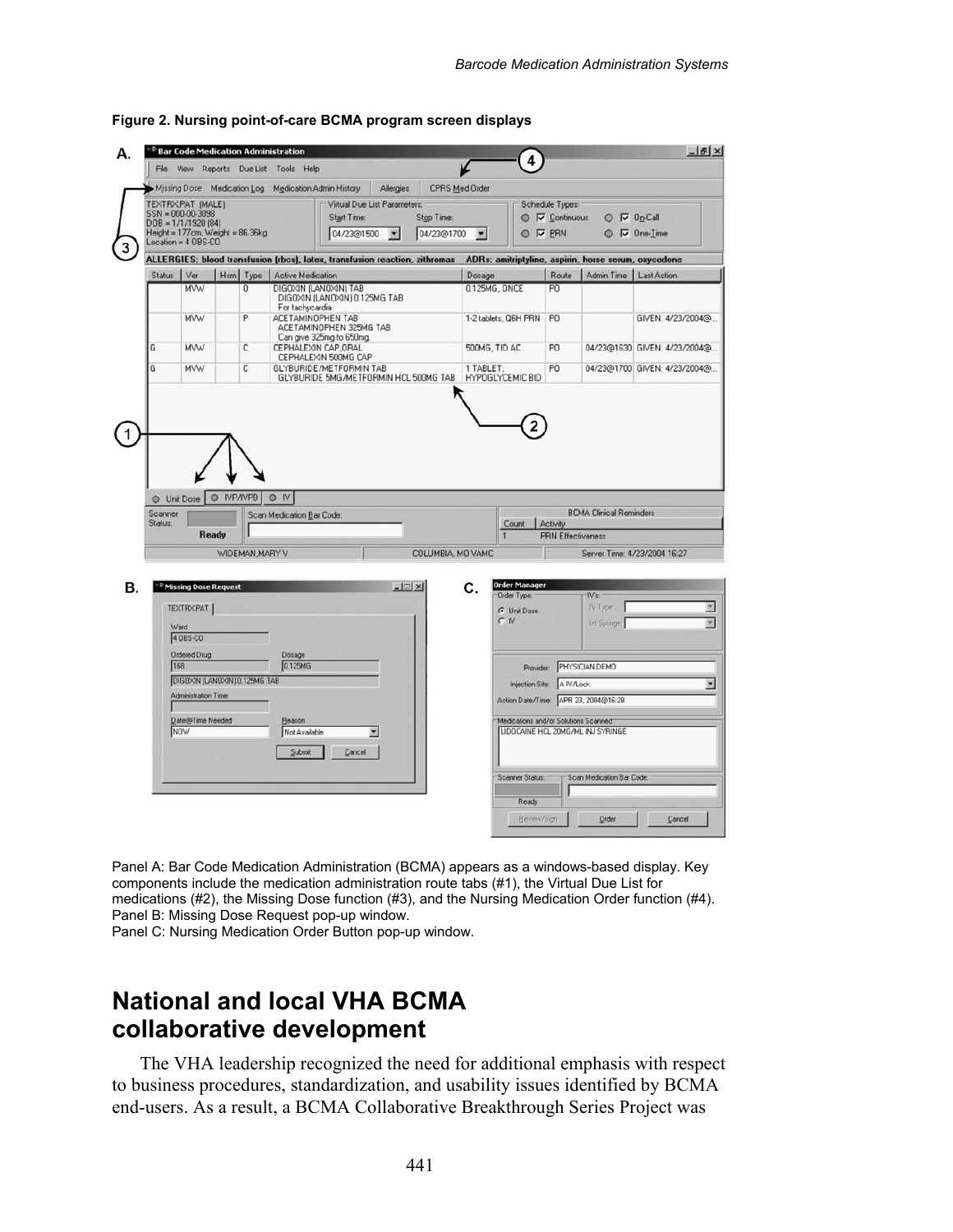| File View                                                                                                                                                                                  |                                                                                                                                                  |  |                | Reports Due List Tools Help              |                                                                                                                                                  |                  |                   |                               | 4                                                                                                                            |                          |                                                                                                     |                              |
|--------------------------------------------------------------------------------------------------------------------------------------------------------------------------------------------|--------------------------------------------------------------------------------------------------------------------------------------------------|--|----------------|------------------------------------------|--------------------------------------------------------------------------------------------------------------------------------------------------|------------------|-------------------|-------------------------------|------------------------------------------------------------------------------------------------------------------------------|--------------------------|-----------------------------------------------------------------------------------------------------|------------------------------|
| Missing Dose Medication Log Medication Admin History<br>TEXTRX, PAT (MALE)<br>SSN = 000-00-3098<br>$DOB = 1/1/1920(84)$<br>Height = 177cm, Weight = 86.36kg<br>$Location = 4 0BS \cdot CO$ |                                                                                                                                                  |  |                |                                          | Allergies<br>CPRS Med Order<br>Virtual Due List Parameters:<br>Start Time:<br>Stop Time:<br>04/23@1500<br>$\overline{\phantom{a}}$<br>04/23@1700 |                  |                   | $\overline{\phantom{a}}$      | Schedule Types:<br>$O$ $\nabla$ On-Call<br>$\odot$ $\triangledown$ Continuous<br>O V PRN<br>$\circ$ $\triangledown$ One-Time |                          |                                                                                                     |                              |
|                                                                                                                                                                                            |                                                                                                                                                  |  |                |                                          | ALLERGIES: blood transfusion (rbcs), latex, transfusion reaction, zithromax                                                                      |                  |                   |                               |                                                                                                                              |                          | ADRs: amitriptyline, aspirin, horse serum, oxycodone                                                |                              |
| <b>Status</b>                                                                                                                                                                              | Ver                                                                                                                                              |  | Hsm Type       | <b>Active Medication</b>                 |                                                                                                                                                  |                  |                   | Dosage                        |                                                                                                                              | Route                    | Admin Time   Last Action                                                                            |                              |
|                                                                                                                                                                                            | <b>MVW</b>                                                                                                                                       |  | 0              | DIGOXIN (LANOXIN) TAB<br>For tachycardia | DIGOXIN (LANOXIN) 0.125MG TAB                                                                                                                    |                  |                   | 0.125MG, ONCE                 |                                                                                                                              | P <sub>0</sub>           |                                                                                                     |                              |
|                                                                                                                                                                                            | <b>MVW</b>                                                                                                                                       |  | P              | ACETAMINOPHEN TAB                        | ACETAMINOPHEN 325MG TAB<br>Can give 325mg to 650mg.                                                                                              |                  |                   |                               | 1-2 tablets, Q6H PRN                                                                                                         | P <sub>0</sub>           |                                                                                                     | GIVEN: 4/23/2004@            |
| G                                                                                                                                                                                          | <b>MVW</b>                                                                                                                                       |  | C              | CEPHALEXIN CAP, ORAL                     | CEPHALEXIN 500MG CAP                                                                                                                             |                  |                   | 500MG, TID AC                 |                                                                                                                              | PO                       |                                                                                                     | 04/23@1630 GIVEN: 4/23/2004@ |
| G                                                                                                                                                                                          | <b>MVW</b>                                                                                                                                       |  | C              |                                          | GLYBURIDE/METFORMIN TAB<br>GLYBURIDE 5MG/METFORMIN HCL 500MG TAB                                                                                 |                  |                   | 1 TABLET.<br>HYPOGLYCEMIC BID |                                                                                                                              | PO                       |                                                                                                     | 04/23@1700 GIVEN: 4/23/2004@ |
| Scanner                                                                                                                                                                                    | O Unit Dose O IVP/IVPB                                                                                                                           |  |                | ON<br>Scan Medication Bar Code:          |                                                                                                                                                  |                  |                   |                               |                                                                                                                              |                          | <b>BCMA Clinical Reminders</b>                                                                      |                              |
| Status:                                                                                                                                                                                    | <b>Ready</b>                                                                                                                                     |  | WIDEMAN MARY V |                                          |                                                                                                                                                  |                  | COLUMBIA, MO VAMC |                               | Count Activity                                                                                                               | <b>PRN Effectiveness</b> |                                                                                                     | Server Time: 4/23/2004 16:27 |
| Ward<br>168                                                                                                                                                                                | <sup>2</sup> Missing Dose Request<br><b>TEXTRXPAT</b><br>4 08S-CO<br><b>Ordered Drug</b><br>DIGOXIN (LANOXIN) 0.125MG TAB<br>Administration Time |  |                | Dosage<br>0.125MG                        |                                                                                                                                                  | $ \Box$ $\times$ |                   | C.                            | <b>Order Manager</b><br>Order Type:<br><b>G</b> Unit Dose<br>$\cap$ N<br>Provider<br>Injection Site: A IV/Lock               |                          | IV's:<br>IV Type:<br><b>Int Syringer</b><br>PHYSICIAN, DEMO<br>Action Date/Time: APR 23, 2004@16:28 | ×                            |

**Figure 2. Nursing point-of-care BCMA program screen displays** 

Panel A: Bar Code Medication Administration (BCMA) appears as a windows-based display. Key components include the medication administration route tabs (#1), the Virtual Due List for medications (#2), the Missing Dose function (#3), and the Nursing Medication Order function (#4). Panel B: Missing Dose Request pop-up window.

Panel C: Nursing Medication Order Button pop-up window.

## **National and local VHA BCMA collaborative development**

The VHA leadership recognized the need for additional emphasis with respect to business procedures, standardization, and usability issues identified by BCMA end-users. As a result, a BCMA Collaborative Breakthrough Series Project was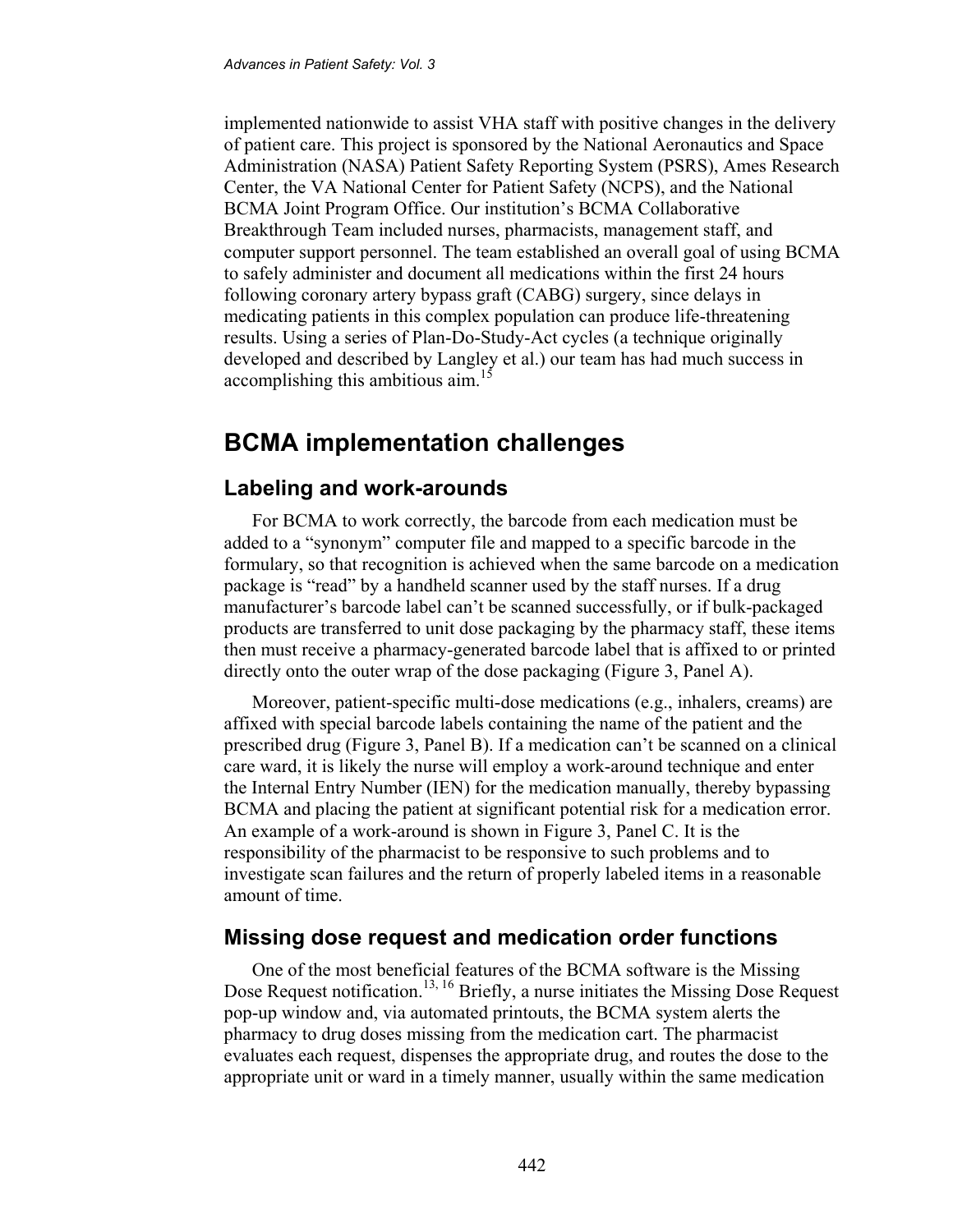implemented nationwide to assist VHA staff with positive changes in the delivery of patient care. This project is sponsored by the National Aeronautics and Space Administration (NASA) Patient Safety Reporting System (PSRS), Ames Research Center, the VA National Center for Patient Safety (NCPS), and the National BCMA Joint Program Office. Our institution's BCMA Collaborative Breakthrough Team included nurses, pharmacists, management staff, and computer support personnel. The team established an overall goal of using BCMA to safely administer and document all medications within the first 24 hours following coronary artery bypass graft (CABG) surgery, since delays in medicating patients in this complex population can produce life-threatening results. Using a series of Plan-Do-Study-Act cycles (a technique originally developed and described by Langley et al.) our team has had much success in accomplishing this ambitious aim.<sup>15</sup>

## **BCMA implementation challenges**

#### **Labeling and work-arounds**

For BCMA to work correctly, the barcode from each medication must be added to a "synonym" computer file and mapped to a specific barcode in the formulary, so that recognition is achieved when the same barcode on a medication package is "read" by a handheld scanner used by the staff nurses. If a drug manufacturer's barcode label can't be scanned successfully, or if bulk-packaged products are transferred to unit dose packaging by the pharmacy staff, these items then must receive a pharmacy-generated barcode label that is affixed to or printed directly onto the outer wrap of the dose packaging (Figure 3, Panel A).

Moreover, patient-specific multi-dose medications (e.g., inhalers, creams) are affixed with special barcode labels containing the name of the patient and the prescribed drug (Figure 3, Panel B). If a medication can't be scanned on a clinical care ward, it is likely the nurse will employ a work-around technique and enter the Internal Entry Number (IEN) for the medication manually, thereby bypassing BCMA and placing the patient at significant potential risk for a medication error. An example of a work-around is shown in Figure 3, Panel C. It is the responsibility of the pharmacist to be responsive to such problems and to investigate scan failures and the return of properly labeled items in a reasonable amount of time.

### **Missing dose request and medication order functions**

One of the most beneficial features of the BCMA software is the Missing Dose Request notification.<sup>13, 16</sup> Briefly, a nurse initiates the Missing Dose Request pop-up window and, via automated printouts, the BCMA system alerts the pharmacy to drug doses missing from the medication cart. The pharmacist evaluates each request, dispenses the appropriate drug, and routes the dose to the appropriate unit or ward in a timely manner, usually within the same medication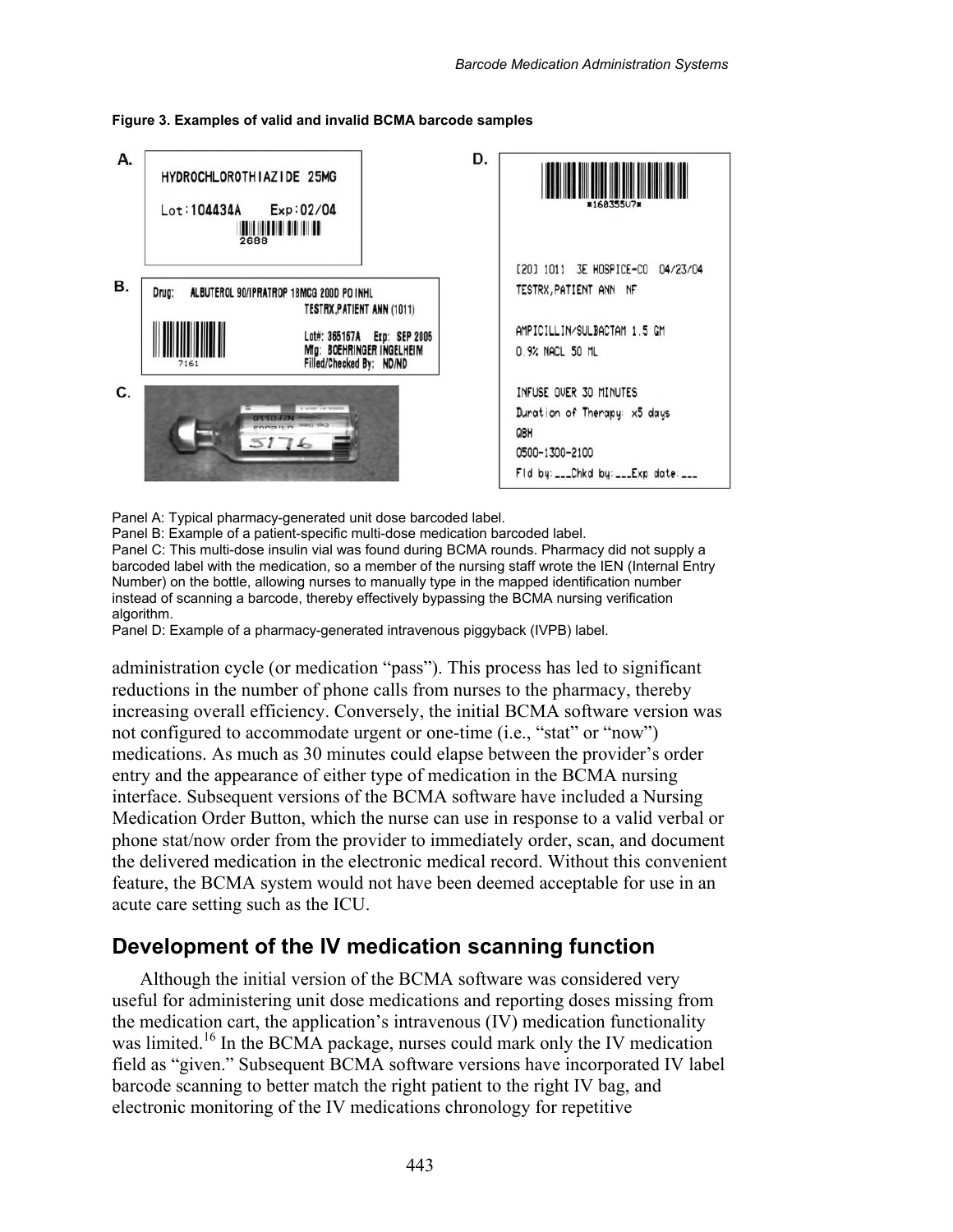



Panel A: Typical pharmacy-generated unit dose barcoded label.

Panel B: Example of a patient-specific multi-dose medication barcoded label.

Panel C: This multi-dose insulin vial was found during BCMA rounds. Pharmacy did not supply a barcoded label with the medication, so a member of the nursing staff wrote the IEN (Internal Entry Number) on the bottle, allowing nurses to manually type in the mapped identification number instead of scanning a barcode, thereby effectively bypassing the BCMA nursing verification algorithm.

Panel D: Example of a pharmacy-generated intravenous piggyback (IVPB) label.

administration cycle (or medication "pass"). This process has led to significant reductions in the number of phone calls from nurses to the pharmacy, thereby increasing overall efficiency. Conversely, the initial BCMA software version was not configured to accommodate urgent or one-time (i.e., "stat" or "now") medications. As much as 30 minutes could elapse between the provider's order entry and the appearance of either type of medication in the BCMA nursing interface. Subsequent versions of the BCMA software have included a Nursing Medication Order Button, which the nurse can use in response to a valid verbal or phone stat/now order from the provider to immediately order, scan, and document the delivered medication in the electronic medical record. Without this convenient feature, the BCMA system would not have been deemed acceptable for use in an acute care setting such as the ICU.

### **Development of the IV medication scanning function**

Although the initial version of the BCMA software was considered very useful for administering unit dose medications and reporting doses missing from the medication cart, the application's intravenous (IV) medication functionality was limited.<sup>16</sup> In the BCMA package, nurses could mark only the IV medication field as "given." Subsequent BCMA software versions have incorporated IV label barcode scanning to better match the right patient to the right IV bag, and electronic monitoring of the IV medications chronology for repetitive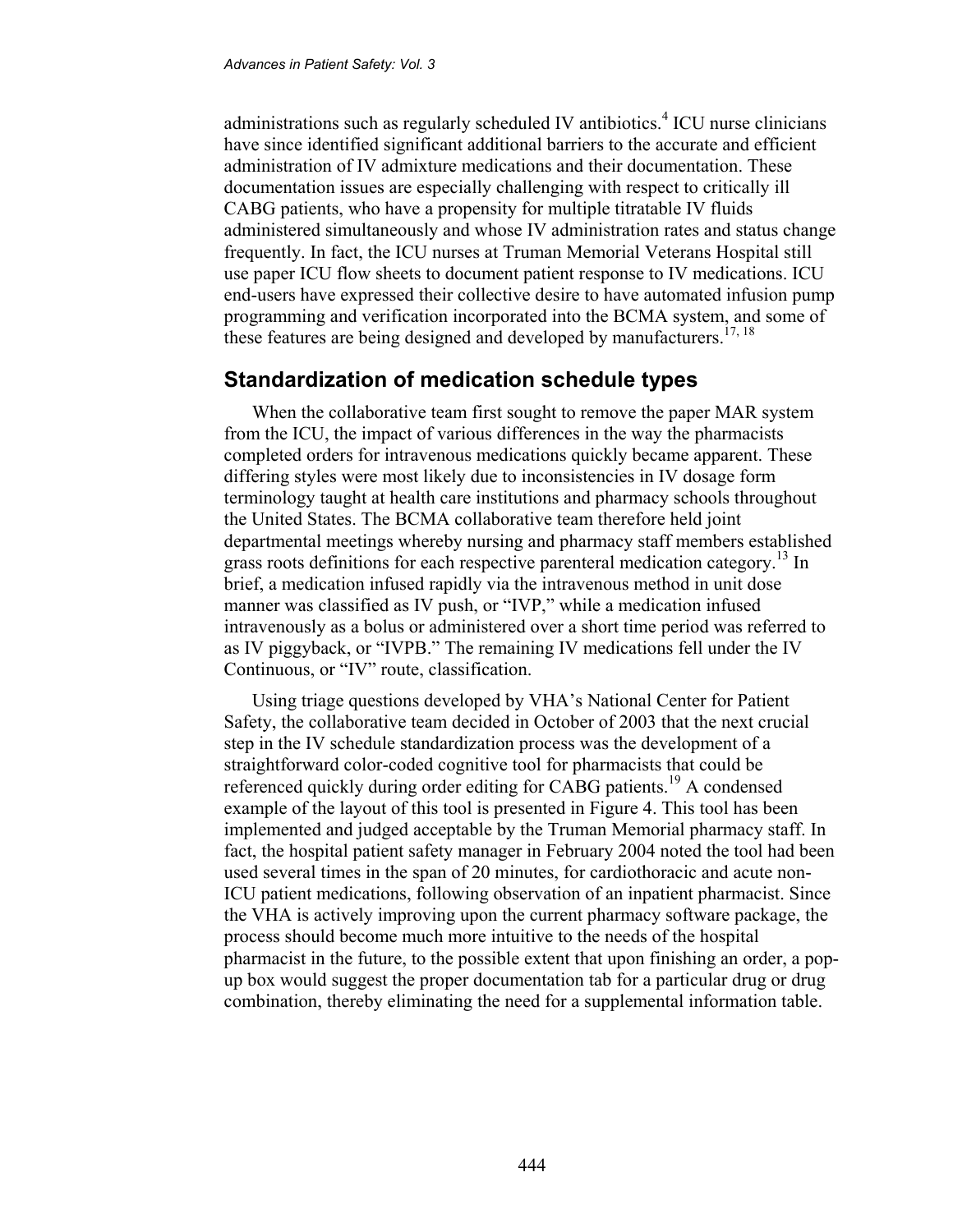administrations such as regularly scheduled IV antibiotics.<sup>4</sup> ICU nurse clinicians have since identified significant additional barriers to the accurate and efficient administration of IV admixture medications and their documentation. These documentation issues are especially challenging with respect to critically ill CABG patients, who have a propensity for multiple titratable IV fluids administered simultaneously and whose IV administration rates and status change frequently. In fact, the ICU nurses at Truman Memorial Veterans Hospital still use paper ICU flow sheets to document patient response to IV medications. ICU end-users have expressed their collective desire to have automated infusion pump programming and verification incorporated into the BCMA system, and some of these features are being designed and developed by manufacturers.<sup>17, 18</sup>

### **Standardization of medication schedule types**

When the collaborative team first sought to remove the paper MAR system from the ICU, the impact of various differences in the way the pharmacists completed orders for intravenous medications quickly became apparent. These differing styles were most likely due to inconsistencies in IV dosage form terminology taught at health care institutions and pharmacy schools throughout the United States. The BCMA collaborative team therefore held joint departmental meetings whereby nursing and pharmacy staff members established grass roots definitions for each respective parenteral medication category.<sup>13</sup> In brief, a medication infused rapidly via the intravenous method in unit dose manner was classified as IV push, or "IVP," while a medication infused intravenously as a bolus or administered over a short time period was referred to as IV piggyback, or "IVPB." The remaining IV medications fell under the IV Continuous, or "IV" route, classification.

Using triage questions developed by VHA's National Center for Patient Safety, the collaborative team decided in October of 2003 that the next crucial step in the IV schedule standardization process was the development of a straightforward color-coded cognitive tool for pharmacists that could be referenced quickly during order editing for CABG patients.<sup>19</sup> A condensed example of the layout of this tool is presented in Figure 4. This tool has been implemented and judged acceptable by the Truman Memorial pharmacy staff. In fact, the hospital patient safety manager in February 2004 noted the tool had been used several times in the span of 20 minutes, for cardiothoracic and acute non-ICU patient medications, following observation of an inpatient pharmacist. Since the VHA is actively improving upon the current pharmacy software package, the process should become much more intuitive to the needs of the hospital pharmacist in the future, to the possible extent that upon finishing an order, a popup box would suggest the proper documentation tab for a particular drug or drug combination, thereby eliminating the need for a supplemental information table.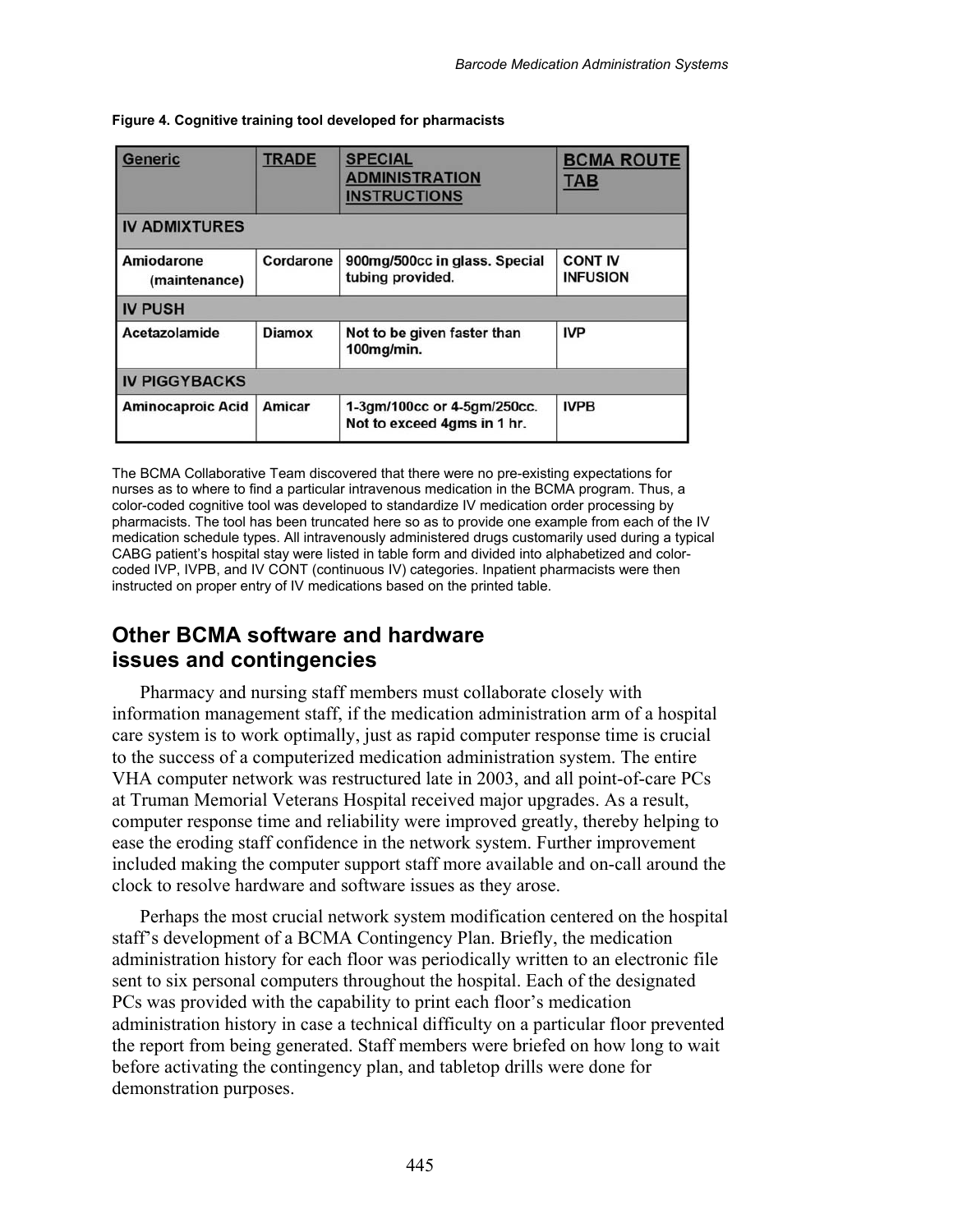| <b>Generic</b>              | <b>TRADE</b>  | <b>SPECIAL</b><br><b>ADMINISTRATION</b><br><b>INSTRUCTIONS</b> | <b>BCMA ROUTE</b><br><b>TAB</b>   |  |  |  |  |  |  |  |
|-----------------------------|---------------|----------------------------------------------------------------|-----------------------------------|--|--|--|--|--|--|--|
| <b>IV ADMIXTURES</b>        |               |                                                                |                                   |  |  |  |  |  |  |  |
| Amiodarone<br>(maintenance) | Cordarone     | 900mg/500cc in glass. Special<br>tubing provided.              | <b>CONT IV</b><br><b>INFUSION</b> |  |  |  |  |  |  |  |
| <b>IV PUSH</b>              |               |                                                                |                                   |  |  |  |  |  |  |  |
| <b>Acetazolamide</b>        | <b>Diamox</b> | Not to be given faster than<br>100mg/min.                      | <b>IVP</b>                        |  |  |  |  |  |  |  |
| <b>IV PIGGYBACKS</b>        |               |                                                                |                                   |  |  |  |  |  |  |  |
| <b>Aminocaproic Acid</b>    | Amicar        | 1-3gm/100cc or 4-5gm/250cc.<br>Not to exceed 4gms in 1 hr.     | <b>IVPB</b>                       |  |  |  |  |  |  |  |

**Figure 4. Cognitive training tool developed for pharmacists** 

The BCMA Collaborative Team discovered that there were no pre-existing expectations for nurses as to where to find a particular intravenous medication in the BCMA program. Thus, a color-coded cognitive tool was developed to standardize IV medication order processing by pharmacists. The tool has been truncated here so as to provide one example from each of the IV medication schedule types. All intravenously administered drugs customarily used during a typical CABG patient's hospital stay were listed in table form and divided into alphabetized and colorcoded IVP, IVPB, and IV CONT (continuous IV) categories. Inpatient pharmacists were then instructed on proper entry of IV medications based on the printed table.

### **Other BCMA software and hardware issues and contingencies**

Pharmacy and nursing staff members must collaborate closely with information management staff, if the medication administration arm of a hospital care system is to work optimally, just as rapid computer response time is crucial to the success of a computerized medication administration system. The entire VHA computer network was restructured late in 2003, and all point-of-care PCs at Truman Memorial Veterans Hospital received major upgrades. As a result, computer response time and reliability were improved greatly, thereby helping to ease the eroding staff confidence in the network system. Further improvement included making the computer support staff more available and on-call around the clock to resolve hardware and software issues as they arose.

Perhaps the most crucial network system modification centered on the hospital staff's development of a BCMA Contingency Plan. Briefly, the medication administration history for each floor was periodically written to an electronic file sent to six personal computers throughout the hospital. Each of the designated PCs was provided with the capability to print each floor's medication administration history in case a technical difficulty on a particular floor prevented the report from being generated. Staff members were briefed on how long to wait before activating the contingency plan, and tabletop drills were done for demonstration purposes.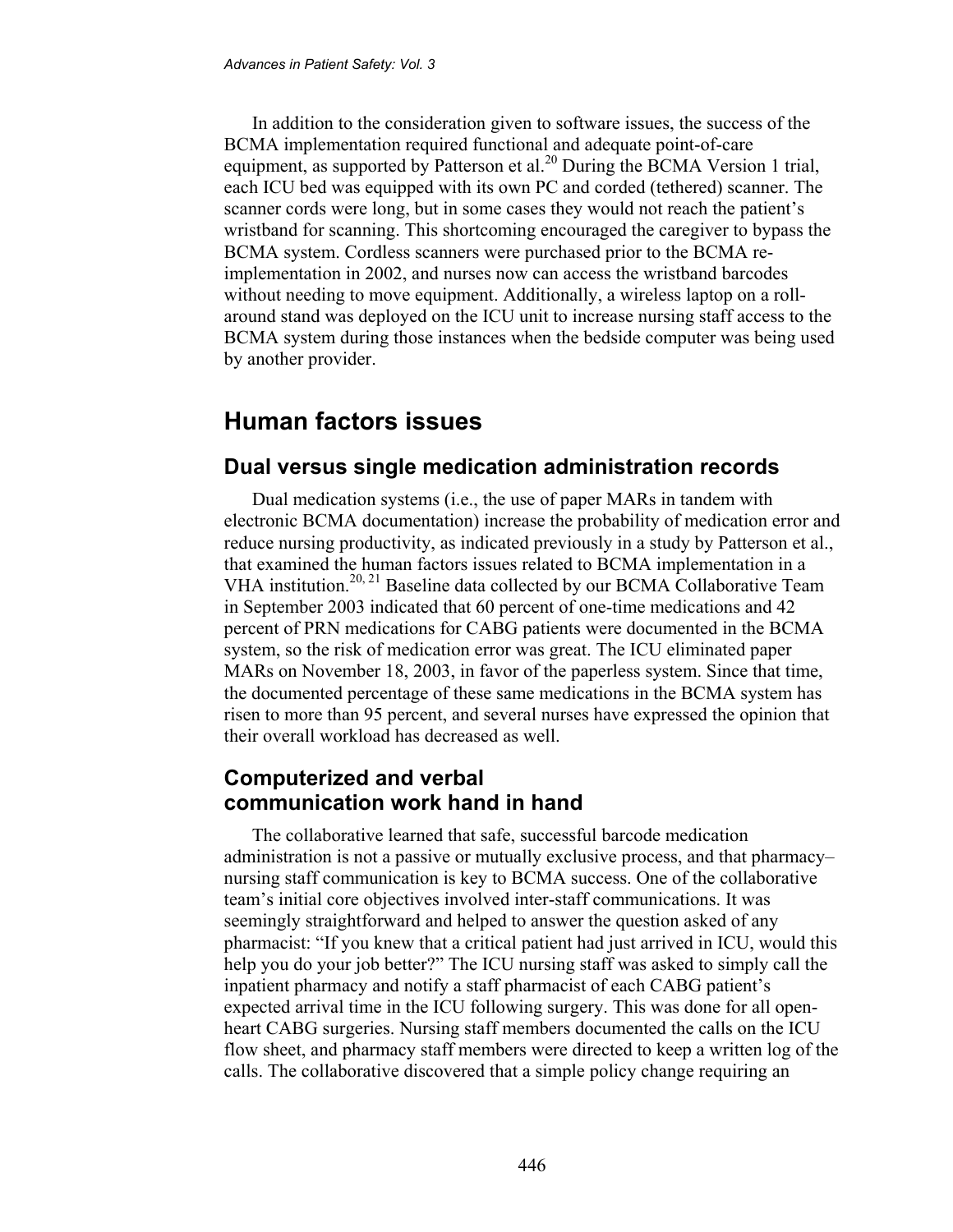In addition to the consideration given to software issues, the success of the BCMA implementation required functional and adequate point-of-care equipment, as supported by Patterson et al.<sup>20</sup> During the BCMA Version 1 trial, each ICU bed was equipped with its own PC and corded (tethered) scanner. The scanner cords were long, but in some cases they would not reach the patient's wristband for scanning. This shortcoming encouraged the caregiver to bypass the BCMA system. Cordless scanners were purchased prior to the BCMA reimplementation in 2002, and nurses now can access the wristband barcodes without needing to move equipment. Additionally, a wireless laptop on a rollaround stand was deployed on the ICU unit to increase nursing staff access to the BCMA system during those instances when the bedside computer was being used by another provider.

### **Human factors issues**

#### **Dual versus single medication administration records**

Dual medication systems (i.e., the use of paper MARs in tandem with electronic BCMA documentation) increase the probability of medication error and reduce nursing productivity, as indicated previously in a study by Patterson et al., that examined the human factors issues related to BCMA implementation in a VHA institution.<sup>20, 21</sup> Baseline data collected by our BCMA Collaborative Team in September 2003 indicated that 60 percent of one-time medications and 42 percent of PRN medications for CABG patients were documented in the BCMA system, so the risk of medication error was great. The ICU eliminated paper MARs on November 18, 2003, in favor of the paperless system. Since that time, the documented percentage of these same medications in the BCMA system has risen to more than 95 percent, and several nurses have expressed the opinion that their overall workload has decreased as well.

### **Computerized and verbal communication work hand in hand**

The collaborative learned that safe, successful barcode medication administration is not a passive or mutually exclusive process, and that pharmacy– nursing staff communication is key to BCMA success. One of the collaborative team's initial core objectives involved inter-staff communications. It was seemingly straightforward and helped to answer the question asked of any pharmacist: "If you knew that a critical patient had just arrived in ICU, would this help you do your job better?" The ICU nursing staff was asked to simply call the inpatient pharmacy and notify a staff pharmacist of each CABG patient's expected arrival time in the ICU following surgery. This was done for all openheart CABG surgeries. Nursing staff members documented the calls on the ICU flow sheet, and pharmacy staff members were directed to keep a written log of the calls. The collaborative discovered that a simple policy change requiring an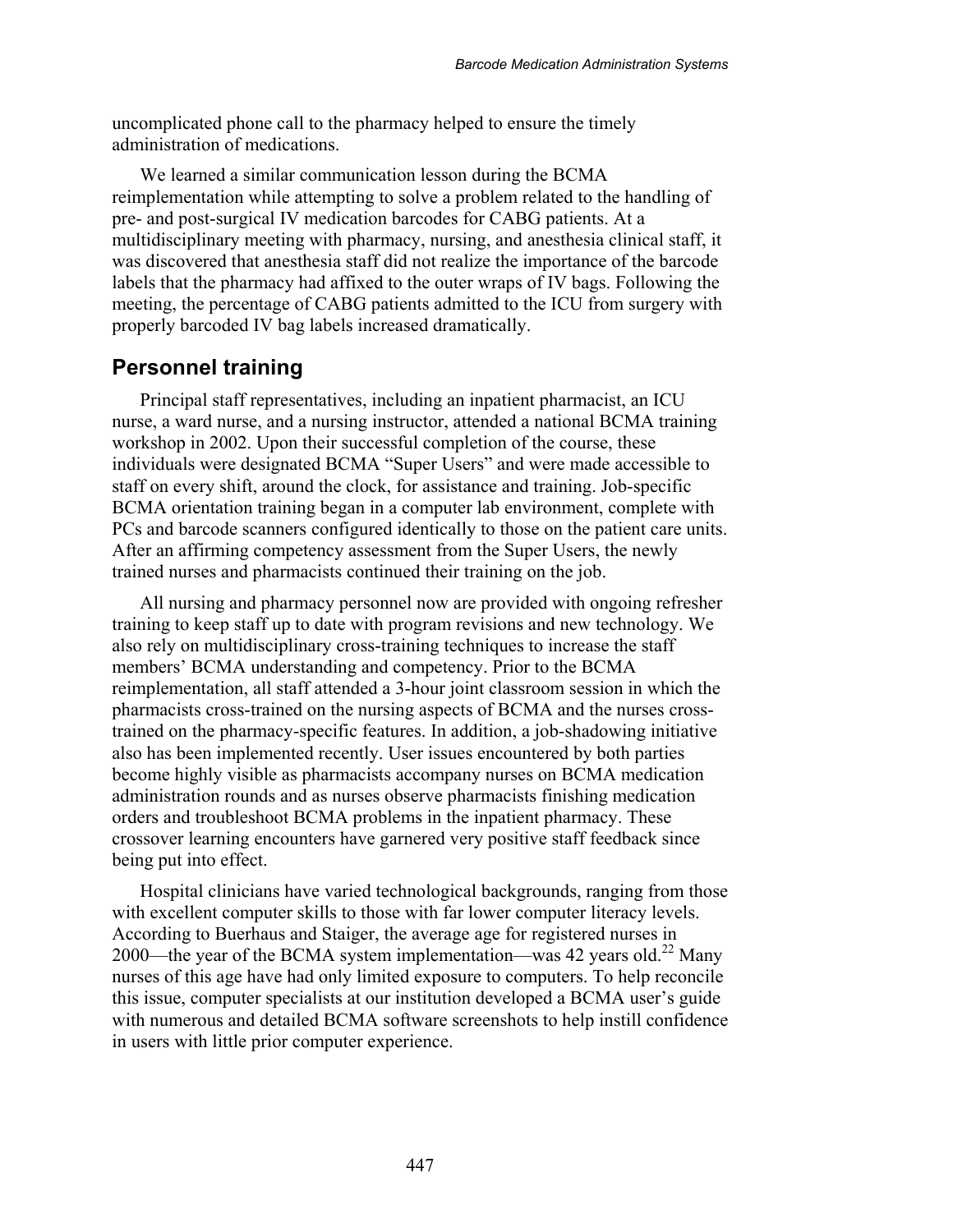uncomplicated phone call to the pharmacy helped to ensure the timely administration of medications.

We learned a similar communication lesson during the BCMA reimplementation while attempting to solve a problem related to the handling of pre- and post-surgical IV medication barcodes for CABG patients. At a multidisciplinary meeting with pharmacy, nursing, and anesthesia clinical staff, it was discovered that anesthesia staff did not realize the importance of the barcode labels that the pharmacy had affixed to the outer wraps of IV bags. Following the meeting, the percentage of CABG patients admitted to the ICU from surgery with properly barcoded IV bag labels increased dramatically.

#### **Personnel training**

Principal staff representatives, including an inpatient pharmacist, an ICU nurse, a ward nurse, and a nursing instructor, attended a national BCMA training workshop in 2002. Upon their successful completion of the course, these individuals were designated BCMA "Super Users" and were made accessible to staff on every shift, around the clock, for assistance and training. Job-specific BCMA orientation training began in a computer lab environment, complete with PCs and barcode scanners configured identically to those on the patient care units. After an affirming competency assessment from the Super Users, the newly trained nurses and pharmacists continued their training on the job.

All nursing and pharmacy personnel now are provided with ongoing refresher training to keep staff up to date with program revisions and new technology. We also rely on multidisciplinary cross-training techniques to increase the staff members' BCMA understanding and competency. Prior to the BCMA reimplementation, all staff attended a 3-hour joint classroom session in which the pharmacists cross-trained on the nursing aspects of BCMA and the nurses crosstrained on the pharmacy-specific features. In addition, a job-shadowing initiative also has been implemented recently. User issues encountered by both parties become highly visible as pharmacists accompany nurses on BCMA medication administration rounds and as nurses observe pharmacists finishing medication orders and troubleshoot BCMA problems in the inpatient pharmacy. These crossover learning encounters have garnered very positive staff feedback since being put into effect.

Hospital clinicians have varied technological backgrounds, ranging from those with excellent computer skills to those with far lower computer literacy levels. According to Buerhaus and Staiger, the average age for registered nurses in 2000—the year of the BCMA system implementation—was 42 years old.<sup>22</sup> Many nurses of this age have had only limited exposure to computers. To help reconcile this issue, computer specialists at our institution developed a BCMA user's guide with numerous and detailed BCMA software screenshots to help instill confidence in users with little prior computer experience.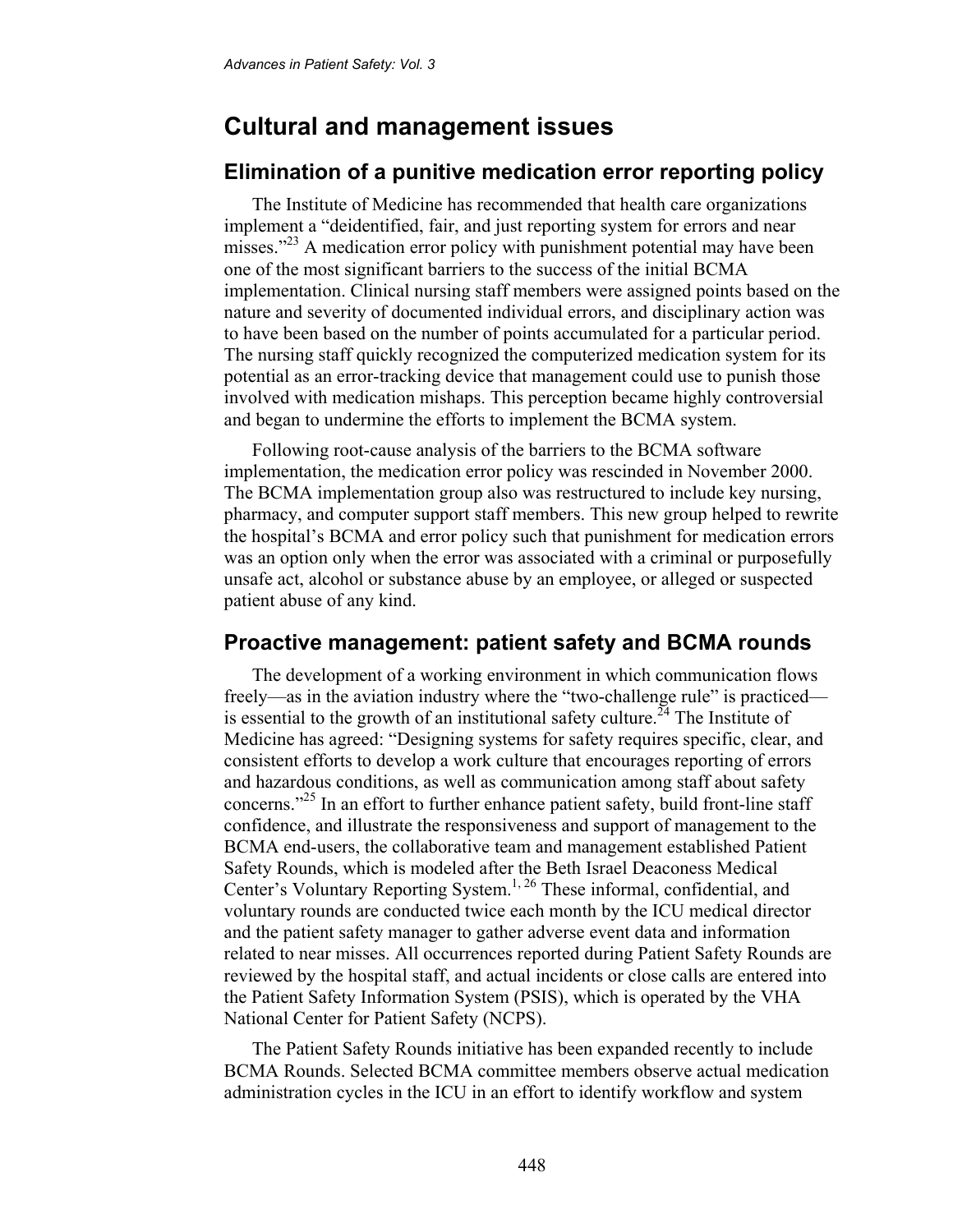## **Cultural and management issues**

### **Elimination of a punitive medication error reporting policy**

The Institute of Medicine has recommended that health care organizations implement a "deidentified, fair, and just reporting system for errors and near misses."<sup>23</sup> A medication error policy with punishment potential may have been one of the most significant barriers to the success of the initial BCMA implementation. Clinical nursing staff members were assigned points based on the nature and severity of documented individual errors, and disciplinary action was to have been based on the number of points accumulated for a particular period. The nursing staff quickly recognized the computerized medication system for its potential as an error-tracking device that management could use to punish those involved with medication mishaps. This perception became highly controversial and began to undermine the efforts to implement the BCMA system.

Following root-cause analysis of the barriers to the BCMA software implementation, the medication error policy was rescinded in November 2000. The BCMA implementation group also was restructured to include key nursing, pharmacy, and computer support staff members. This new group helped to rewrite the hospital's BCMA and error policy such that punishment for medication errors was an option only when the error was associated with a criminal or purposefully unsafe act, alcohol or substance abuse by an employee, or alleged or suspected patient abuse of any kind.

#### **Proactive management: patient safety and BCMA rounds**

The development of a working environment in which communication flows freely—as in the aviation industry where the "two-challenge rule" is practiced is essential to the growth of an institutional safety culture.<sup>24</sup> The Institute of Medicine has agreed: "Designing systems for safety requires specific, clear, and consistent efforts to develop a work culture that encourages reporting of errors and hazardous conditions, as well as communication among staff about safety concerns."25 In an effort to further enhance patient safety, build front-line staff confidence, and illustrate the responsiveness and support of management to the BCMA end-users, the collaborative team and management established Patient Safety Rounds, which is modeled after the Beth Israel Deaconess Medical Center's Voluntary Reporting System.<sup>1, 26</sup> These informal, confidential, and voluntary rounds are conducted twice each month by the ICU medical director and the patient safety manager to gather adverse event data and information related to near misses. All occurrences reported during Patient Safety Rounds are reviewed by the hospital staff, and actual incidents or close calls are entered into the Patient Safety Information System (PSIS), which is operated by the VHA National Center for Patient Safety (NCPS).

The Patient Safety Rounds initiative has been expanded recently to include BCMA Rounds. Selected BCMA committee members observe actual medication administration cycles in the ICU in an effort to identify workflow and system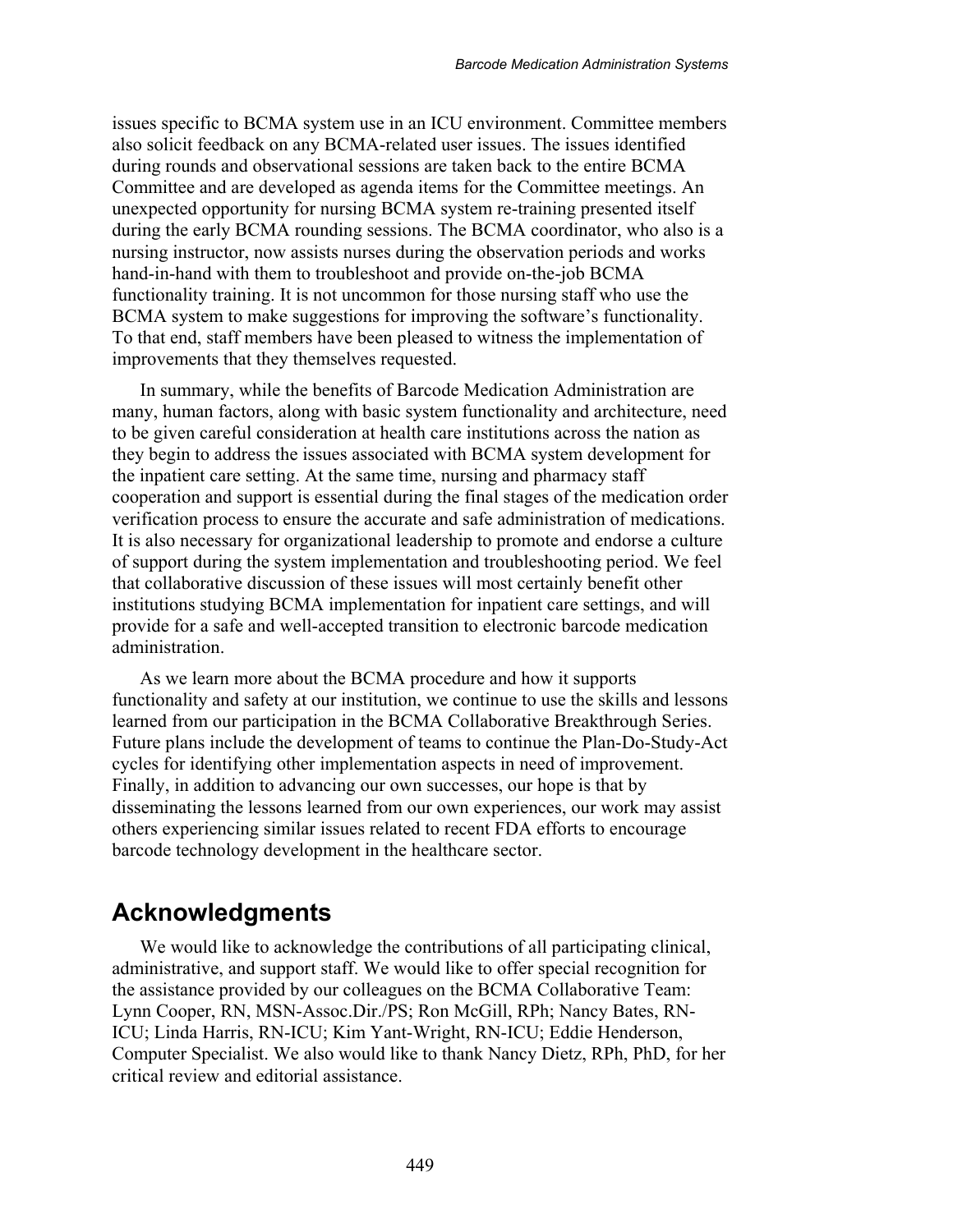issues specific to BCMA system use in an ICU environment. Committee members also solicit feedback on any BCMA-related user issues. The issues identified during rounds and observational sessions are taken back to the entire BCMA Committee and are developed as agenda items for the Committee meetings. An unexpected opportunity for nursing BCMA system re-training presented itself during the early BCMA rounding sessions. The BCMA coordinator, who also is a nursing instructor, now assists nurses during the observation periods and works hand-in-hand with them to troubleshoot and provide on-the-job BCMA functionality training. It is not uncommon for those nursing staff who use the BCMA system to make suggestions for improving the software's functionality. To that end, staff members have been pleased to witness the implementation of improvements that they themselves requested.

In summary, while the benefits of Barcode Medication Administration are many, human factors, along with basic system functionality and architecture, need to be given careful consideration at health care institutions across the nation as they begin to address the issues associated with BCMA system development for the inpatient care setting. At the same time, nursing and pharmacy staff cooperation and support is essential during the final stages of the medication order verification process to ensure the accurate and safe administration of medications. It is also necessary for organizational leadership to promote and endorse a culture of support during the system implementation and troubleshooting period. We feel that collaborative discussion of these issues will most certainly benefit other institutions studying BCMA implementation for inpatient care settings, and will provide for a safe and well-accepted transition to electronic barcode medication administration.

As we learn more about the BCMA procedure and how it supports functionality and safety at our institution, we continue to use the skills and lessons learned from our participation in the BCMA Collaborative Breakthrough Series. Future plans include the development of teams to continue the Plan-Do-Study-Act cycles for identifying other implementation aspects in need of improvement. Finally, in addition to advancing our own successes, our hope is that by disseminating the lessons learned from our own experiences, our work may assist others experiencing similar issues related to recent FDA efforts to encourage barcode technology development in the healthcare sector.

### **Acknowledgments**

We would like to acknowledge the contributions of all participating clinical, administrative, and support staff. We would like to offer special recognition for the assistance provided by our colleagues on the BCMA Collaborative Team: Lynn Cooper, RN, MSN-Assoc.Dir./PS; Ron McGill, RPh; Nancy Bates, RN-ICU; Linda Harris, RN-ICU; Kim Yant-Wright, RN-ICU; Eddie Henderson, Computer Specialist. We also would like to thank Nancy Dietz, RPh, PhD, for her critical review and editorial assistance.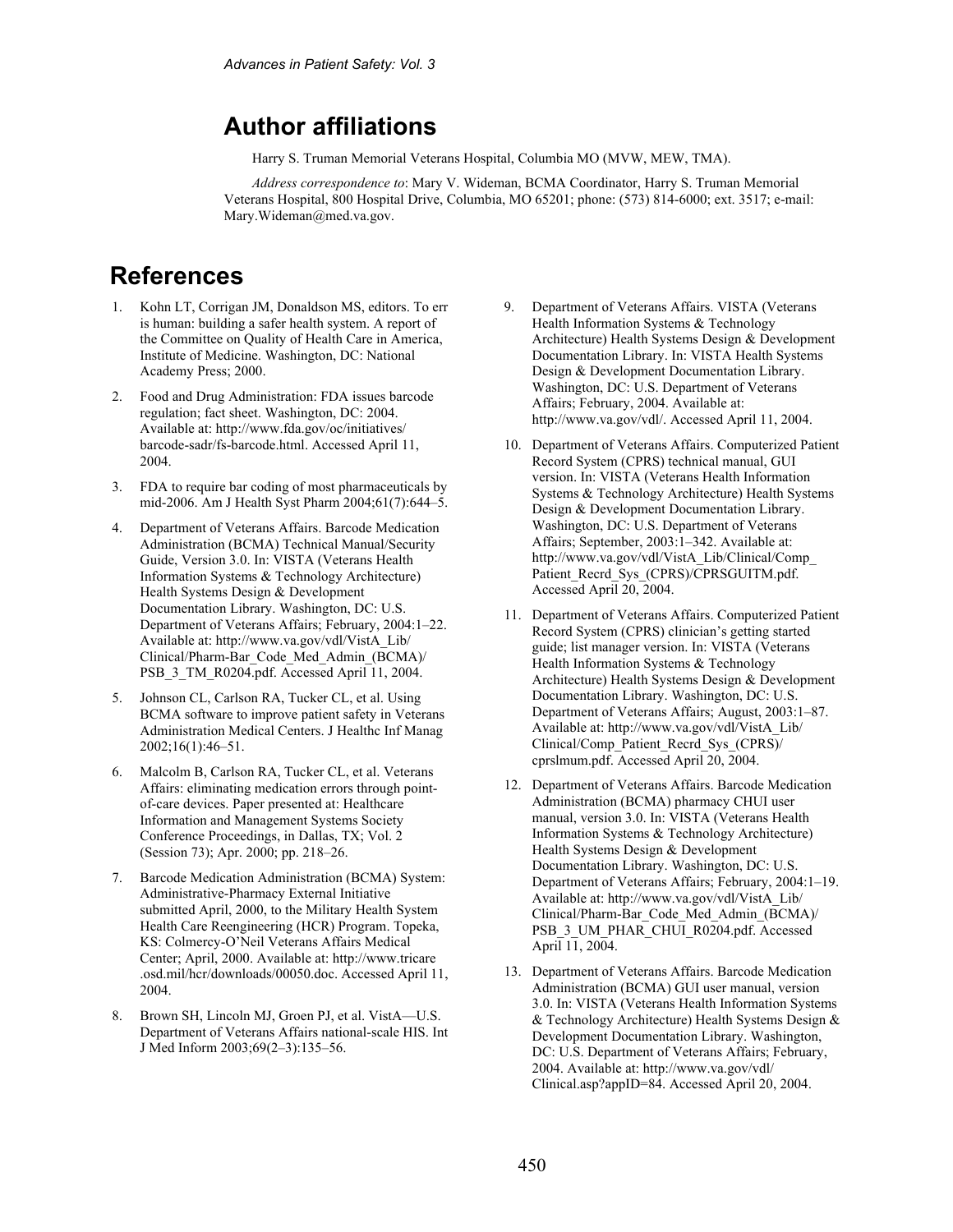## **Author affiliations**

Harry S. Truman Memorial Veterans Hospital, Columbia MO (MVW, MEW, TMA).

*Address correspondence to*: Mary V. Wideman, BCMA Coordinator, Harry S. Truman Memorial Veterans Hospital, 800 Hospital Drive, Columbia, MO 65201; phone: (573) 814-6000; ext. 3517; e-mail: Mary.Wideman@med.va.gov.

## **References**

- 1. Kohn LT, Corrigan JM, Donaldson MS, editors. To err is human: building a safer health system. A report of the Committee on Quality of Health Care in America, Institute of Medicine. Washington, DC: National Academy Press; 2000.
- 2. Food and Drug Administration: FDA issues barcode regulation; fact sheet. Washington, DC: 2004. Available at: http://www.fda.gov/oc/initiatives/ barcode-sadr/fs-barcode.html. Accessed April 11, 2004.
- 3. FDA to require bar coding of most pharmaceuticals by mid-2006. Am J Health Syst Pharm 2004;61(7):644–5.
- 4. Department of Veterans Affairs. Barcode Medication Administration (BCMA) Technical Manual/Security Guide, Version 3.0. In: VISTA (Veterans Health Information Systems & Technology Architecture) Health Systems Design & Development Documentation Library. Washington, DC: U.S. Department of Veterans Affairs; February, 2004:1–22. Available at: http://www.va.gov/vdl/VistA\_Lib/ Clinical/Pharm-Bar\_Code\_Med\_Admin\_(BCMA)/ PSB 3 TM R0204.pdf. Accessed April 11, 2004.
- 5. Johnson CL, Carlson RA, Tucker CL, et al. Using BCMA software to improve patient safety in Veterans Administration Medical Centers. J Healthc Inf Manag 2002;16(1):46–51.
- 6. Malcolm B, Carlson RA, Tucker CL, et al. Veterans Affairs: eliminating medication errors through pointof-care devices. Paper presented at: Healthcare Information and Management Systems Society Conference Proceedings, in Dallas, TX; Vol. 2 (Session 73); Apr. 2000; pp. 218–26.
- 7. Barcode Medication Administration (BCMA) System: Administrative-Pharmacy External Initiative submitted April, 2000, to the Military Health System Health Care Reengineering (HCR) Program. Topeka, KS: Colmercy-O'Neil Veterans Affairs Medical Center; April, 2000. Available at: http://www.tricare .osd.mil/hcr/downloads/00050.doc. Accessed April 11, 2004.
- 8. Brown SH, Lincoln MJ, Groen PJ, et al. VistA—U.S. Department of Veterans Affairs national-scale HIS. Int J Med Inform 2003;69(2–3):135–56.
- 9. Department of Veterans Affairs. VISTA (Veterans Health Information Systems & Technology Architecture) Health Systems Design & Development Documentation Library. In: VISTA Health Systems Design & Development Documentation Library. Washington, DC: U.S. Department of Veterans Affairs; February, 2004. Available at: http://www.va.gov/vdl/. Accessed April 11, 2004.
- 10. Department of Veterans Affairs. Computerized Patient Record System (CPRS) technical manual, GUI version. In: VISTA (Veterans Health Information Systems & Technology Architecture) Health Systems Design & Development Documentation Library. Washington, DC: U.S. Department of Veterans Affairs; September, 2003:1–342. Available at: http://www.va.gov/vdl/VistA\_Lib/Clinical/Comp\_ Patient\_Recrd\_Sys\_(CPRS)/CPRSGUITM.pdf. Accessed April 20, 2004.
- 11. Department of Veterans Affairs. Computerized Patient Record System (CPRS) clinician's getting started guide; list manager version. In: VISTA (Veterans Health Information Systems & Technology Architecture) Health Systems Design & Development Documentation Library. Washington, DC: U.S. Department of Veterans Affairs; August, 2003:1–87. Available at: http://www.va.gov/vdl/VistA\_Lib/ Clinical/Comp\_Patient\_Recrd\_Sys\_(CPRS)/ cprslmum.pdf. Accessed April 20, 2004.
- 12. Department of Veterans Affairs. Barcode Medication Administration (BCMA) pharmacy CHUI user manual, version 3.0. In: VISTA (Veterans Health Information Systems & Technology Architecture) Health Systems Design & Development Documentation Library. Washington, DC: U.S. Department of Veterans Affairs; February, 2004:1–19. Available at: http://www.va.gov/vdl/VistA\_Lib/ Clinical/Pharm-Bar\_Code\_Med\_Admin\_(BCMA)/ PSB\_3\_UM\_PHAR\_CHUI\_R0204.pdf. Accessed April 11, 2004.
- 13. Department of Veterans Affairs. Barcode Medication Administration (BCMA) GUI user manual, version 3.0. In: VISTA (Veterans Health Information Systems & Technology Architecture) Health Systems Design & Development Documentation Library. Washington, DC: U.S. Department of Veterans Affairs; February, 2004. Available at: http://www.va.gov/vdl/ Clinical.asp?appID=84. Accessed April 20, 2004.